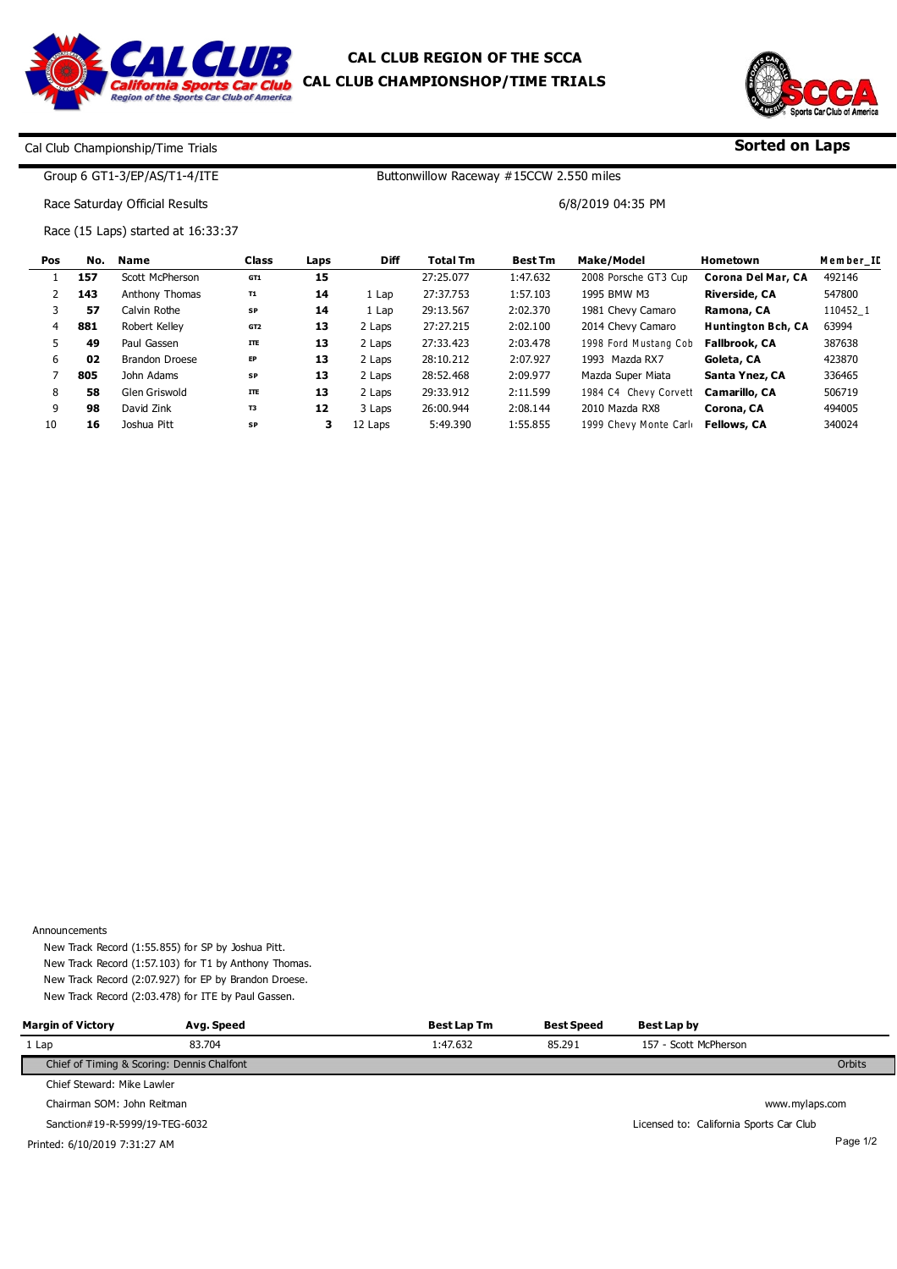



**Sorted on Laps**

## Cal Club Championship/Time Trials

## Group 6 GT1-3/EP/AS/T1-4/ITE

Buttonwillow Raceway #15CCW 2.550 miles

6/8/2019 04:35 PM

Race Saturday Official Results

Race (15 Laps) started at 16:33:37

| Pos | No. | <b>Name</b>           | <b>Class</b>    | Laps | <b>Diff</b> | <b>Total Tm</b> | <b>Best Tm</b> | Make/Model             | Hometown                  | Member II |
|-----|-----|-----------------------|-----------------|------|-------------|-----------------|----------------|------------------------|---------------------------|-----------|
|     | 157 | Scott McPherson       | GT1             | 15   |             | 27:25.077       | 1:47.632       | 2008 Porsche GT3 Cup   | Corona Del Mar, CA        | 492146    |
|     | 143 | Anthony Thomas        | <b>T1</b>       | 14   | 1 Lap       | 27:37.753       | 1:57.103       | 1995 BMW M3            | <b>Riverside, CA</b>      | 547800    |
|     | 57  | Calvin Rothe          | SP              | 14   | 1 Lap       | 29:13.567       | 2:02.370       | 1981 Chevy Camaro      | Ramona, CA                | 110452 1  |
| 4   | 881 | Robert Kellev         | GT <sub>2</sub> | 13   | 2 Laps      | 27:27.215       | 2:02.100       | 2014 Chevy Camaro      | <b>Huntington Bch, CA</b> | 63994     |
| 5.  | 49  | Paul Gassen           | <b>ITE</b>      | 13   | 2 Laps      | 27:33.423       | 2:03.478       | 1998 Ford Mustang Cob  | <b>Fallbrook, CA</b>      | 387638    |
| 6   | 02  | <b>Brandon Droese</b> | EP              | 13   | 2 Laps      | 28:10.212       | 2:07.927       | 1993 Mazda RX7         | Goleta, CA                | 423870    |
|     | 805 | John Adams            | SP              | 13   | 2 Laps      | 28:52.468       | 2:09.977       | Mazda Super Miata      | Santa Ynez, CA            | 336465    |
| 8   | 58  | Glen Griswold         | <b>ITE</b>      | 13   | 2 Laps      | 29:33.912       | 2:11.599       | 1984 C4 Chevy Corvett  | Camarillo, CA             | 506719    |
| 9   | 98  | David Zink            | T3              | 12   | 3 Laps      | 26:00.944       | 2:08.144       | 2010 Mazda RX8         | Corona, CA                | 494005    |
| 10  | 16  | Joshua Pitt           | SP              | з    | 12 Laps     | 5:49.390        | 1:55.855       | 1999 Chevy Monte Carlo | <b>Fellows, CA</b>        | 340024    |

Announcements

New Track Record (1:55.855) for SP by Joshua Pitt. New Track Record (1:57.103) for T1 by Anthony Thomas. New Track Record (2:07.927) for EP by Brandon Droese. New Track Record (2:03.478) for ITE by Paul Gassen.

| <b>Margin of Victory</b>       | Avg. Speed                                 | Best Lap Tm | <b>Best Speed</b> | Best Lap by                             |          |
|--------------------------------|--------------------------------------------|-------------|-------------------|-----------------------------------------|----------|
| 1 Lap                          | 83.704                                     | 1:47.632    | 85.291            | 157 - Scott McPherson                   |          |
|                                | Chief of Timing & Scoring: Dennis Chalfont |             |                   | Orbits                                  |          |
| Chief Steward: Mike Lawler     |                                            |             |                   |                                         |          |
| Chairman SOM: John Reitman     |                                            |             |                   | www.mylaps.com                          |          |
| Sanction#19-R-5999/19-TEG-6032 |                                            |             |                   | Licensed to: California Sports Car Club |          |
| Printed: 6/10/2019 7:31:27 AM  |                                            |             |                   |                                         | Page 1/2 |